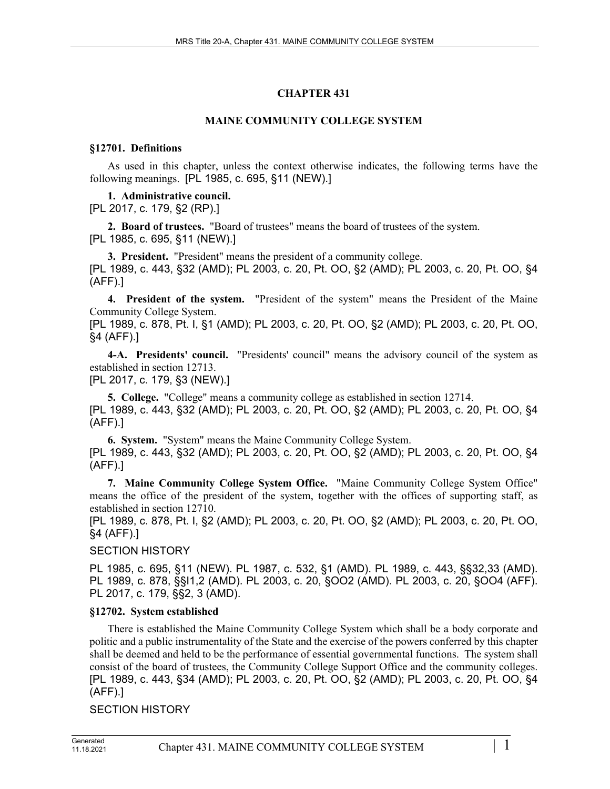# **CHAPTER 431**

# **MAINE COMMUNITY COLLEGE SYSTEM**

# **§12701. Definitions**

As used in this chapter, unless the context otherwise indicates, the following terms have the following meanings. [PL 1985, c. 695, §11 (NEW).]

# **1. Administrative council.**

[PL 2017, c. 179, §2 (RP).]

**2. Board of trustees.** "Board of trustees" means the board of trustees of the system. [PL 1985, c. 695, §11 (NEW).]

**3. President.** "President" means the president of a community college. [PL 1989, c. 443, §32 (AMD); PL 2003, c. 20, Pt. OO, §2 (AMD); PL 2003, c. 20, Pt. OO, §4 (AFF).]

**4. President of the system.** "President of the system" means the President of the Maine Community College System.

[PL 1989, c. 878, Pt. I, §1 (AMD); PL 2003, c. 20, Pt. OO, §2 (AMD); PL 2003, c. 20, Pt. OO, §4 (AFF).]

**4-A. Presidents' council.** "Presidents' council" means the advisory council of the system as established in section 12713. [PL 2017, c. 179, §3 (NEW).]

**5. College.** "College" means a community college as established in section 12714. [PL 1989, c. 443, §32 (AMD); PL 2003, c. 20, Pt. OO, §2 (AMD); PL 2003, c. 20, Pt. OO, §4 (AFF).]

**6. System.** "System" means the Maine Community College System. [PL 1989, c. 443, §32 (AMD); PL 2003, c. 20, Pt. OO, §2 (AMD); PL 2003, c. 20, Pt. OO, §4 (AFF).]

**7. Maine Community College System Office.** "Maine Community College System Office" means the office of the president of the system, together with the offices of supporting staff, as established in section 12710.

[PL 1989, c. 878, Pt. I, §2 (AMD); PL 2003, c. 20, Pt. OO, §2 (AMD); PL 2003, c. 20, Pt. OO, §4 (AFF).]

# SECTION HISTORY

PL 1985, c. 695, §11 (NEW). PL 1987, c. 532, §1 (AMD). PL 1989, c. 443, §§32,33 (AMD). PL 1989, c. 878, §§I1,2 (AMD). PL 2003, c. 20, §OO2 (AMD). PL 2003, c. 20, §OO4 (AFF). PL 2017, c. 179, §§2, 3 (AMD).

# **§12702. System established**

There is established the Maine Community College System which shall be a body corporate and politic and a public instrumentality of the State and the exercise of the powers conferred by this chapter shall be deemed and held to be the performance of essential governmental functions. The system shall consist of the board of trustees, the Community College Support Office and the community colleges. [PL 1989, c. 443, §34 (AMD); PL 2003, c. 20, Pt. OO, §2 (AMD); PL 2003, c. 20, Pt. OO, §4 (AFF).]

# SECTION HISTORY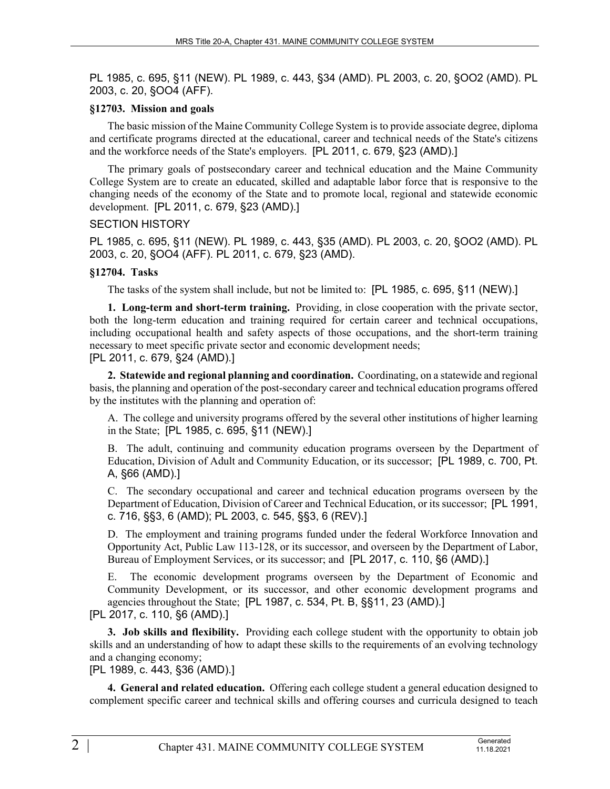PL 1985, c. 695, §11 (NEW). PL 1989, c. 443, §34 (AMD). PL 2003, c. 20, §OO2 (AMD). PL 2003, c. 20, §OO4 (AFF).

#### **§12703. Mission and goals**

The basic mission of the Maine Community College System is to provide associate degree, diploma and certificate programs directed at the educational, career and technical needs of the State's citizens and the workforce needs of the State's employers. [PL 2011, c. 679, §23 (AMD).]

The primary goals of postsecondary career and technical education and the Maine Community College System are to create an educated, skilled and adaptable labor force that is responsive to the changing needs of the economy of the State and to promote local, regional and statewide economic development. [PL 2011, c. 679, §23 (AMD).]

# SECTION HISTORY

PL 1985, c. 695, §11 (NEW). PL 1989, c. 443, §35 (AMD). PL 2003, c. 20, §OO2 (AMD). PL 2003, c. 20, §OO4 (AFF). PL 2011, c. 679, §23 (AMD).

# **§12704. Tasks**

The tasks of the system shall include, but not be limited to: [PL 1985, c. 695, §11 (NEW).]

**1. Long-term and short-term training.** Providing, in close cooperation with the private sector, both the long-term education and training required for certain career and technical occupations, including occupational health and safety aspects of those occupations, and the short-term training necessary to meet specific private sector and economic development needs;

# [PL 2011, c. 679, §24 (AMD).]

**2. Statewide and regional planning and coordination.** Coordinating, on a statewide and regional basis, the planning and operation of the post-secondary career and technical education programs offered by the institutes with the planning and operation of:

A. The college and university programs offered by the several other institutions of higher learning in the State; [PL 1985, c. 695, §11 (NEW).]

B. The adult, continuing and community education programs overseen by the Department of Education, Division of Adult and Community Education, or its successor; [PL 1989, c. 700, Pt. A, §66 (AMD).]

C. The secondary occupational and career and technical education programs overseen by the Department of Education, Division of Career and Technical Education, or its successor; [PL 1991, c. 716, §§3, 6 (AMD); PL 2003, c. 545, §§3, 6 (REV).]

D. The employment and training programs funded under the federal Workforce Innovation and Opportunity Act, Public Law 113-128, or its successor, and overseen by the Department of Labor, Bureau of Employment Services, or its successor; and [PL 2017, c. 110, §6 (AMD).]

E. The economic development programs overseen by the Department of Economic and Community Development, or its successor, and other economic development programs and agencies throughout the State; [PL 1987, c. 534, Pt. B, §§11, 23 (AMD).]

[PL 2017, c. 110, §6 (AMD).]

**3. Job skills and flexibility.** Providing each college student with the opportunity to obtain job skills and an understanding of how to adapt these skills to the requirements of an evolving technology and a changing economy;

[PL 1989, c. 443, §36 (AMD).]

**4. General and related education.** Offering each college student a general education designed to complement specific career and technical skills and offering courses and curricula designed to teach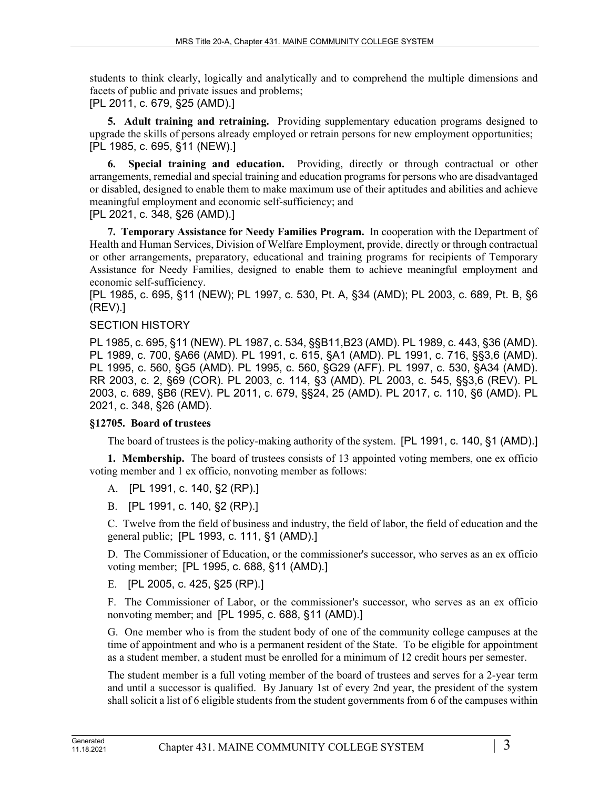students to think clearly, logically and analytically and to comprehend the multiple dimensions and facets of public and private issues and problems;

[PL 2011, c. 679, §25 (AMD).]

**5. Adult training and retraining.** Providing supplementary education programs designed to upgrade the skills of persons already employed or retrain persons for new employment opportunities; [PL 1985, c. 695, §11 (NEW).]

**6. Special training and education.** Providing, directly or through contractual or other arrangements, remedial and special training and education programs for persons who are disadvantaged or disabled, designed to enable them to make maximum use of their aptitudes and abilities and achieve meaningful employment and economic self-sufficiency; and

[PL 2021, c. 348, §26 (AMD).]

**7. Temporary Assistance for Needy Families Program.** In cooperation with the Department of Health and Human Services, Division of Welfare Employment, provide, directly or through contractual or other arrangements, preparatory, educational and training programs for recipients of Temporary Assistance for Needy Families, designed to enable them to achieve meaningful employment and economic self-sufficiency.

[PL 1985, c. 695, §11 (NEW); PL 1997, c. 530, Pt. A, §34 (AMD); PL 2003, c. 689, Pt. B, §6 (REV).]

# SECTION HISTORY

PL 1985, c. 695, §11 (NEW). PL 1987, c. 534, §§B11,B23 (AMD). PL 1989, c. 443, §36 (AMD). PL 1989, c. 700, §A66 (AMD). PL 1991, c. 615, §A1 (AMD). PL 1991, c. 716, §§3,6 (AMD). PL 1995, c. 560, §G5 (AMD). PL 1995, c. 560, §G29 (AFF). PL 1997, c. 530, §A34 (AMD). RR 2003, c. 2, §69 (COR). PL 2003, c. 114, §3 (AMD). PL 2003, c. 545, §§3,6 (REV). PL 2003, c. 689, §B6 (REV). PL 2011, c. 679, §§24, 25 (AMD). PL 2017, c. 110, §6 (AMD). PL 2021, c. 348, §26 (AMD).

# **§12705. Board of trustees**

The board of trustees is the policy-making authority of the system. [PL 1991, c. 140, §1 (AMD).]

**1. Membership.** The board of trustees consists of 13 appointed voting members, one ex officio voting member and 1 ex officio, nonvoting member as follows:

A. [PL 1991, c. 140, §2 (RP).]

B. [PL 1991, c. 140, §2 (RP).]

C. Twelve from the field of business and industry, the field of labor, the field of education and the general public; [PL 1993, c. 111, §1 (AMD).]

D. The Commissioner of Education, or the commissioner's successor, who serves as an ex officio voting member; [PL 1995, c. 688, §11 (AMD).]

E. [PL 2005, c. 425, §25 (RP).]

F. The Commissioner of Labor, or the commissioner's successor, who serves as an ex officio nonvoting member; and [PL 1995, c. 688, §11 (AMD).]

G. One member who is from the student body of one of the community college campuses at the time of appointment and who is a permanent resident of the State. To be eligible for appointment as a student member, a student must be enrolled for a minimum of 12 credit hours per semester.

The student member is a full voting member of the board of trustees and serves for a 2-year term and until a successor is qualified. By January 1st of every 2nd year, the president of the system shall solicit a list of 6 eligible students from the student governments from 6 of the campuses within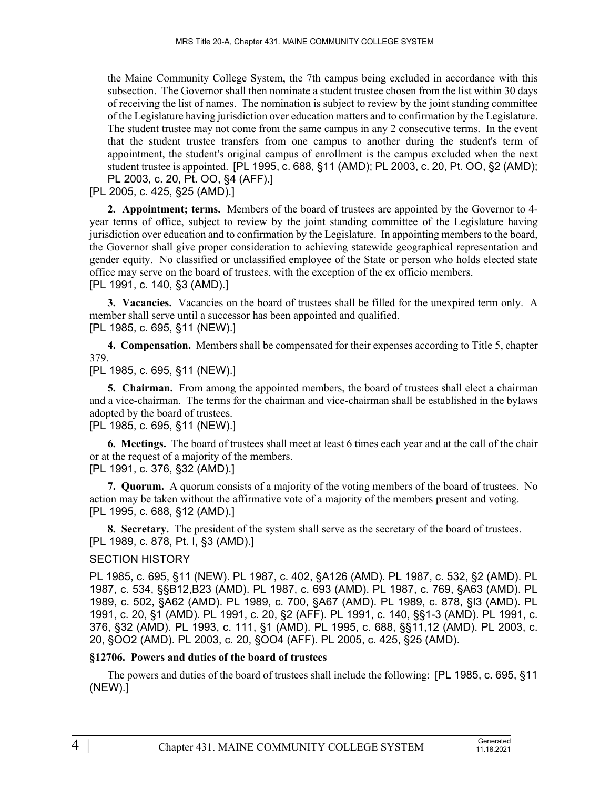the Maine Community College System, the 7th campus being excluded in accordance with this subsection. The Governor shall then nominate a student trustee chosen from the list within 30 days of receiving the list of names. The nomination is subject to review by the joint standing committee of the Legislature having jurisdiction over education matters and to confirmation by the Legislature. The student trustee may not come from the same campus in any 2 consecutive terms. In the event that the student trustee transfers from one campus to another during the student's term of appointment, the student's original campus of enrollment is the campus excluded when the next student trustee is appointed. [PL 1995, c. 688, §11 (AMD); PL 2003, c. 20, Pt. OO, §2 (AMD); PL 2003, c. 20, Pt. OO, §4 (AFF).]

[PL 2005, c. 425, §25 (AMD).]

**2. Appointment; terms.** Members of the board of trustees are appointed by the Governor to 4 year terms of office, subject to review by the joint standing committee of the Legislature having jurisdiction over education and to confirmation by the Legislature. In appointing members to the board, the Governor shall give proper consideration to achieving statewide geographical representation and gender equity. No classified or unclassified employee of the State or person who holds elected state office may serve on the board of trustees, with the exception of the ex officio members. [PL 1991, c. 140, §3 (AMD).]

**3. Vacancies.** Vacancies on the board of trustees shall be filled for the unexpired term only. A member shall serve until a successor has been appointed and qualified. [PL 1985, c. 695, §11 (NEW).]

**4. Compensation.** Members shall be compensated for their expenses according to Title 5, chapter 379.

# [PL 1985, c. 695, §11 (NEW).]

**5. Chairman.** From among the appointed members, the board of trustees shall elect a chairman and a vice-chairman. The terms for the chairman and vice-chairman shall be established in the bylaws adopted by the board of trustees.

[PL 1985, c. 695, §11 (NEW).]

**6. Meetings.** The board of trustees shall meet at least 6 times each year and at the call of the chair or at the request of a majority of the members.

[PL 1991, c. 376, §32 (AMD).]

**7. Quorum.** A quorum consists of a majority of the voting members of the board of trustees. No action may be taken without the affirmative vote of a majority of the members present and voting. [PL 1995, c. 688, §12 (AMD).]

**8. Secretary.** The president of the system shall serve as the secretary of the board of trustees. [PL 1989, c. 878, Pt. I, §3 (AMD).]

# SECTION HISTORY

PL 1985, c. 695, §11 (NEW). PL 1987, c. 402, §A126 (AMD). PL 1987, c. 532, §2 (AMD). PL 1987, c. 534, §§B12,B23 (AMD). PL 1987, c. 693 (AMD). PL 1987, c. 769, §A63 (AMD). PL 1989, c. 502, §A62 (AMD). PL 1989, c. 700, §A67 (AMD). PL 1989, c. 878, §I3 (AMD). PL 1991, c. 20, §1 (AMD). PL 1991, c. 20, §2 (AFF). PL 1991, c. 140, §§1-3 (AMD). PL 1991, c. 376, §32 (AMD). PL 1993, c. 111, §1 (AMD). PL 1995, c. 688, §§11,12 (AMD). PL 2003, c. 20, §OO2 (AMD). PL 2003, c. 20, §OO4 (AFF). PL 2005, c. 425, §25 (AMD).

#### **§12706. Powers and duties of the board of trustees**

The powers and duties of the board of trustees shall include the following: [PL 1985, c. 695, §11 (NEW).]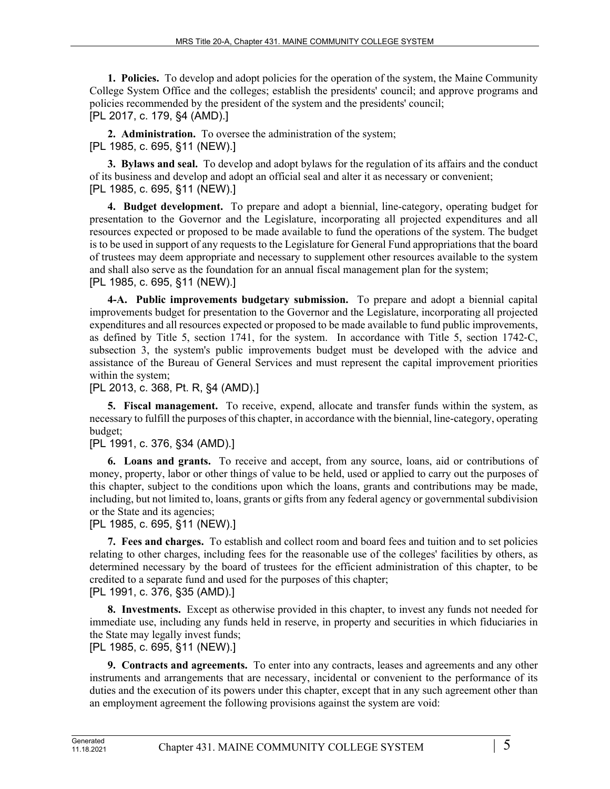**1. Policies.** To develop and adopt policies for the operation of the system, the Maine Community College System Office and the colleges; establish the presidents' council; and approve programs and policies recommended by the president of the system and the presidents' council; [PL 2017, c. 179, §4 (AMD).]

**2. Administration.** To oversee the administration of the system; [PL 1985, c. 695, §11 (NEW).]

**3. Bylaws and seal.** To develop and adopt bylaws for the regulation of its affairs and the conduct of its business and develop and adopt an official seal and alter it as necessary or convenient; [PL 1985, c. 695, §11 (NEW).]

**4. Budget development.** To prepare and adopt a biennial, line-category, operating budget for presentation to the Governor and the Legislature, incorporating all projected expenditures and all resources expected or proposed to be made available to fund the operations of the system. The budget is to be used in support of any requests to the Legislature for General Fund appropriations that the board of trustees may deem appropriate and necessary to supplement other resources available to the system and shall also serve as the foundation for an annual fiscal management plan for the system; [PL 1985, c. 695, §11 (NEW).]

**4-A. Public improvements budgetary submission.** To prepare and adopt a biennial capital improvements budget for presentation to the Governor and the Legislature, incorporating all projected expenditures and all resources expected or proposed to be made available to fund public improvements, as defined by Title 5, section 1741, for the system. In accordance with Title 5, section 1742‑C, subsection 3, the system's public improvements budget must be developed with the advice and assistance of the Bureau of General Services and must represent the capital improvement priorities within the system;

[PL 2013, c. 368, Pt. R, §4 (AMD).]

**5. Fiscal management.** To receive, expend, allocate and transfer funds within the system, as necessary to fulfill the purposes of this chapter, in accordance with the biennial, line-category, operating budget;

### [PL 1991, c. 376, §34 (AMD).]

**6. Loans and grants.** To receive and accept, from any source, loans, aid or contributions of money, property, labor or other things of value to be held, used or applied to carry out the purposes of this chapter, subject to the conditions upon which the loans, grants and contributions may be made, including, but not limited to, loans, grants or gifts from any federal agency or governmental subdivision or the State and its agencies;

[PL 1985, c. 695, §11 (NEW).]

**7. Fees and charges.** To establish and collect room and board fees and tuition and to set policies relating to other charges, including fees for the reasonable use of the colleges' facilities by others, as determined necessary by the board of trustees for the efficient administration of this chapter, to be credited to a separate fund and used for the purposes of this chapter; [PL 1991, c. 376, §35 (AMD).]

**8. Investments.** Except as otherwise provided in this chapter, to invest any funds not needed for immediate use, including any funds held in reserve, in property and securities in which fiduciaries in the State may legally invest funds;

[PL 1985, c. 695, §11 (NEW).]

**9. Contracts and agreements.** To enter into any contracts, leases and agreements and any other instruments and arrangements that are necessary, incidental or convenient to the performance of its duties and the execution of its powers under this chapter, except that in any such agreement other than an employment agreement the following provisions against the system are void: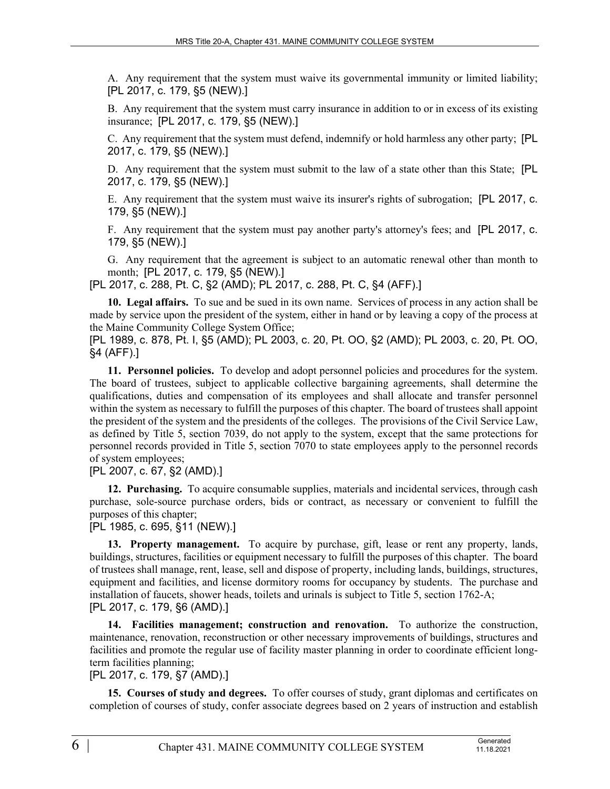A. Any requirement that the system must waive its governmental immunity or limited liability; [PL 2017, c. 179, §5 (NEW).]

B. Any requirement that the system must carry insurance in addition to or in excess of its existing insurance; [PL 2017, c. 179, §5 (NEW).]

C. Any requirement that the system must defend, indemnify or hold harmless any other party; [PL 2017, c. 179, §5 (NEW).]

D. Any requirement that the system must submit to the law of a state other than this State; [PL 2017, c. 179, §5 (NEW).]

E. Any requirement that the system must waive its insurer's rights of subrogation; [PL 2017, c. 179, §5 (NEW).]

F. Any requirement that the system must pay another party's attorney's fees; and [PL 2017, c. 179, §5 (NEW).]

G. Any requirement that the agreement is subject to an automatic renewal other than month to month; [PL 2017, c. 179, §5 (NEW).]

[PL 2017, c. 288, Pt. C, §2 (AMD); PL 2017, c. 288, Pt. C, §4 (AFF).]

**10. Legal affairs.** To sue and be sued in its own name. Services of process in any action shall be made by service upon the president of the system, either in hand or by leaving a copy of the process at the Maine Community College System Office;

[PL 1989, c. 878, Pt. I, §5 (AMD); PL 2003, c. 20, Pt. OO, §2 (AMD); PL 2003, c. 20, Pt. OO, §4 (AFF).]

**11. Personnel policies.** To develop and adopt personnel policies and procedures for the system. The board of trustees, subject to applicable collective bargaining agreements, shall determine the qualifications, duties and compensation of its employees and shall allocate and transfer personnel within the system as necessary to fulfill the purposes of this chapter. The board of trustees shall appoint the president of the system and the presidents of the colleges. The provisions of the Civil Service Law, as defined by Title 5, section 7039, do not apply to the system, except that the same protections for personnel records provided in Title 5, section 7070 to state employees apply to the personnel records of system employees;

[PL 2007, c. 67, §2 (AMD).]

**12. Purchasing.** To acquire consumable supplies, materials and incidental services, through cash purchase, sole-source purchase orders, bids or contract, as necessary or convenient to fulfill the purposes of this chapter;

[PL 1985, c. 695, §11 (NEW).]

**13. Property management.** To acquire by purchase, gift, lease or rent any property, lands, buildings, structures, facilities or equipment necessary to fulfill the purposes of this chapter. The board of trustees shall manage, rent, lease, sell and dispose of property, including lands, buildings, structures, equipment and facilities, and license dormitory rooms for occupancy by students. The purchase and installation of faucets, shower heads, toilets and urinals is subject to Title 5, section 1762-A; [PL 2017, c. 179, §6 (AMD).]

**14. Facilities management; construction and renovation.** To authorize the construction, maintenance, renovation, reconstruction or other necessary improvements of buildings, structures and facilities and promote the regular use of facility master planning in order to coordinate efficient longterm facilities planning;

[PL 2017, c. 179, §7 (AMD).]

**15. Courses of study and degrees.** To offer courses of study, grant diplomas and certificates on completion of courses of study, confer associate degrees based on 2 years of instruction and establish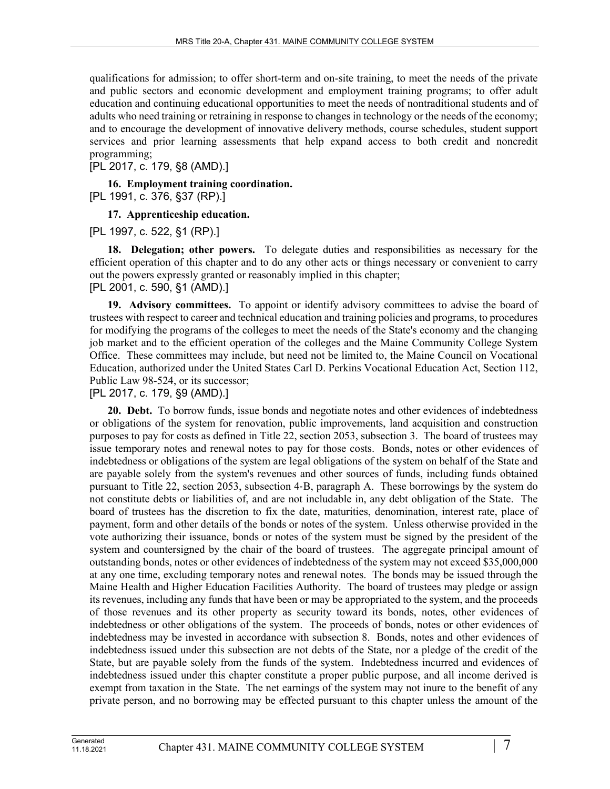qualifications for admission; to offer short-term and on-site training, to meet the needs of the private and public sectors and economic development and employment training programs; to offer adult education and continuing educational opportunities to meet the needs of nontraditional students and of adults who need training or retraining in response to changes in technology or the needs of the economy; and to encourage the development of innovative delivery methods, course schedules, student support services and prior learning assessments that help expand access to both credit and noncredit programming;

[PL 2017, c. 179, §8 (AMD).]

**16. Employment training coordination.**  [PL 1991, c. 376, §37 (RP).]

**17. Apprenticeship education.** 

[PL 1997, c. 522, §1 (RP).]

**18. Delegation; other powers.** To delegate duties and responsibilities as necessary for the efficient operation of this chapter and to do any other acts or things necessary or convenient to carry out the powers expressly granted or reasonably implied in this chapter; [PL 2001, c. 590, §1 (AMD).]

**19. Advisory committees.** To appoint or identify advisory committees to advise the board of trustees with respect to career and technical education and training policies and programs, to procedures for modifying the programs of the colleges to meet the needs of the State's economy and the changing job market and to the efficient operation of the colleges and the Maine Community College System Office. These committees may include, but need not be limited to, the Maine Council on Vocational Education, authorized under the United States Carl D. Perkins Vocational Education Act, Section 112, Public Law 98-524, or its successor;

[PL 2017, c. 179, §9 (AMD).]

**20. Debt.** To borrow funds, issue bonds and negotiate notes and other evidences of indebtedness or obligations of the system for renovation, public improvements, land acquisition and construction purposes to pay for costs as defined in Title 22, section 2053, subsection 3. The board of trustees may issue temporary notes and renewal notes to pay for those costs. Bonds, notes or other evidences of indebtedness or obligations of the system are legal obligations of the system on behalf of the State and are payable solely from the system's revenues and other sources of funds, including funds obtained pursuant to Title 22, section 2053, subsection 4‑B, paragraph A. These borrowings by the system do not constitute debts or liabilities of, and are not includable in, any debt obligation of the State. The board of trustees has the discretion to fix the date, maturities, denomination, interest rate, place of payment, form and other details of the bonds or notes of the system. Unless otherwise provided in the vote authorizing their issuance, bonds or notes of the system must be signed by the president of the system and countersigned by the chair of the board of trustees. The aggregate principal amount of outstanding bonds, notes or other evidences of indebtedness of the system may not exceed \$35,000,000 at any one time, excluding temporary notes and renewal notes. The bonds may be issued through the Maine Health and Higher Education Facilities Authority. The board of trustees may pledge or assign its revenues, including any funds that have been or may be appropriated to the system, and the proceeds of those revenues and its other property as security toward its bonds, notes, other evidences of indebtedness or other obligations of the system. The proceeds of bonds, notes or other evidences of indebtedness may be invested in accordance with subsection 8. Bonds, notes and other evidences of indebtedness issued under this subsection are not debts of the State, nor a pledge of the credit of the State, but are payable solely from the funds of the system. Indebtedness incurred and evidences of indebtedness issued under this chapter constitute a proper public purpose, and all income derived is exempt from taxation in the State. The net earnings of the system may not inure to the benefit of any private person, and no borrowing may be effected pursuant to this chapter unless the amount of the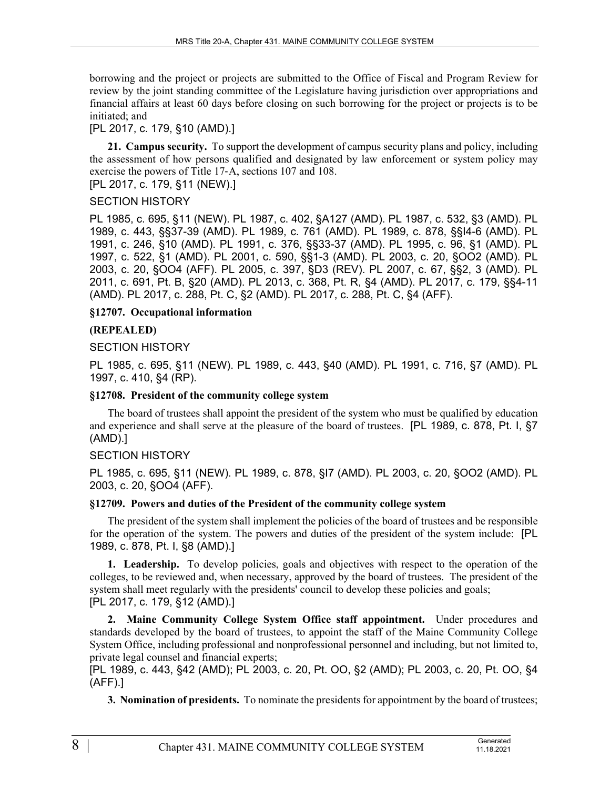borrowing and the project or projects are submitted to the Office of Fiscal and Program Review for review by the joint standing committee of the Legislature having jurisdiction over appropriations and financial affairs at least 60 days before closing on such borrowing for the project or projects is to be initiated; and

# [PL 2017, c. 179, §10 (AMD).]

**21. Campus security.** To support the development of campus security plans and policy, including the assessment of how persons qualified and designated by law enforcement or system policy may exercise the powers of Title 17‑A, sections 107 and 108.

[PL 2017, c. 179, §11 (NEW).]

# SECTION HISTORY

PL 1985, c. 695, §11 (NEW). PL 1987, c. 402, §A127 (AMD). PL 1987, c. 532, §3 (AMD). PL 1989, c. 443, §§37-39 (AMD). PL 1989, c. 761 (AMD). PL 1989, c. 878, §§I4-6 (AMD). PL 1991, c. 246, §10 (AMD). PL 1991, c. 376, §§33-37 (AMD). PL 1995, c. 96, §1 (AMD). PL 1997, c. 522, §1 (AMD). PL 2001, c. 590, §§1-3 (AMD). PL 2003, c. 20, §OO2 (AMD). PL 2003, c. 20, §OO4 (AFF). PL 2005, c. 397, §D3 (REV). PL 2007, c. 67, §§2, 3 (AMD). PL 2011, c. 691, Pt. B, §20 (AMD). PL 2013, c. 368, Pt. R, §4 (AMD). PL 2017, c. 179, §§4-11 (AMD). PL 2017, c. 288, Pt. C, §2 (AMD). PL 2017, c. 288, Pt. C, §4 (AFF).

# **§12707. Occupational information**

# **(REPEALED)**

# SECTION HISTORY

PL 1985, c. 695, §11 (NEW). PL 1989, c. 443, §40 (AMD). PL 1991, c. 716, §7 (AMD). PL 1997, c. 410, §4 (RP).

### **§12708. President of the community college system**

The board of trustees shall appoint the president of the system who must be qualified by education and experience and shall serve at the pleasure of the board of trustees. [PL 1989, c. 878, Pt. I, §7 (AMD).]

# SECTION HISTORY

PL 1985, c. 695, §11 (NEW). PL 1989, c. 878, §I7 (AMD). PL 2003, c. 20, §OO2 (AMD). PL 2003, c. 20, §OO4 (AFF).

### **§12709. Powers and duties of the President of the community college system**

The president of the system shall implement the policies of the board of trustees and be responsible for the operation of the system. The powers and duties of the president of the system include: [PL 1989, c. 878, Pt. I, §8 (AMD).]

**1. Leadership.** To develop policies, goals and objectives with respect to the operation of the colleges, to be reviewed and, when necessary, approved by the board of trustees. The president of the system shall meet regularly with the presidents' council to develop these policies and goals; [PL 2017, c. 179, §12 (AMD).]

**2. Maine Community College System Office staff appointment.** Under procedures and standards developed by the board of trustees, to appoint the staff of the Maine Community College System Office, including professional and nonprofessional personnel and including, but not limited to, private legal counsel and financial experts;

[PL 1989, c. 443, §42 (AMD); PL 2003, c. 20, Pt. OO, §2 (AMD); PL 2003, c. 20, Pt. OO, §4 (AFF).]

**3. Nomination of presidents.** To nominate the presidents for appointment by the board of trustees;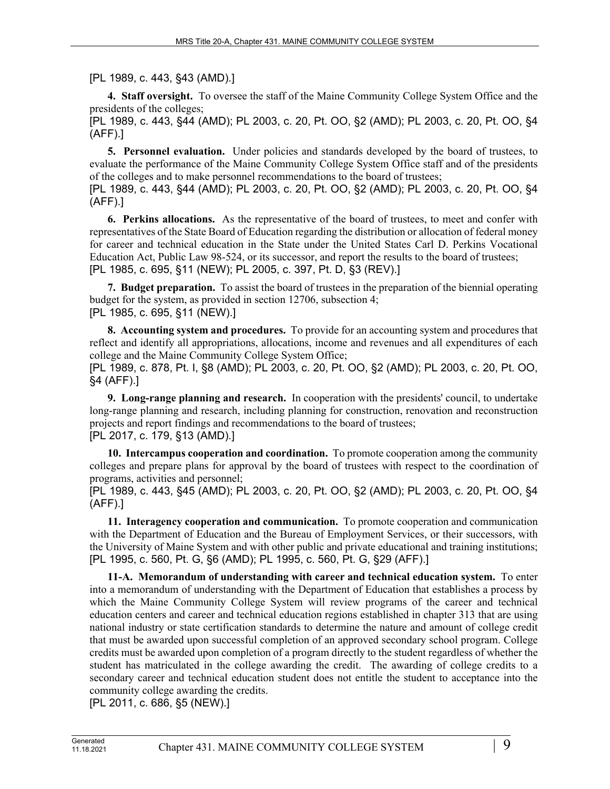[PL 1989, c. 443, §43 (AMD).]

**4. Staff oversight.** To oversee the staff of the Maine Community College System Office and the presidents of the colleges;

[PL 1989, c. 443, §44 (AMD); PL 2003, c. 20, Pt. OO, §2 (AMD); PL 2003, c. 20, Pt. OO, §4 (AFF).]

**5. Personnel evaluation.** Under policies and standards developed by the board of trustees, to evaluate the performance of the Maine Community College System Office staff and of the presidents of the colleges and to make personnel recommendations to the board of trustees; [PL 1989, c. 443, §44 (AMD); PL 2003, c. 20, Pt. OO, §2 (AMD); PL 2003, c. 20, Pt. OO, §4

(AFF).]

**6. Perkins allocations.** As the representative of the board of trustees, to meet and confer with representatives of the State Board of Education regarding the distribution or allocation of federal money for career and technical education in the State under the United States Carl D. Perkins Vocational Education Act, Public Law 98-524, or its successor, and report the results to the board of trustees; [PL 1985, c. 695, §11 (NEW); PL 2005, c. 397, Pt. D, §3 (REV).]

**7. Budget preparation.** To assist the board of trustees in the preparation of the biennial operating budget for the system, as provided in section 12706, subsection 4; [PL 1985, c. 695, §11 (NEW).]

**8. Accounting system and procedures.** To provide for an accounting system and procedures that reflect and identify all appropriations, allocations, income and revenues and all expenditures of each college and the Maine Community College System Office;

[PL 1989, c. 878, Pt. I, §8 (AMD); PL 2003, c. 20, Pt. OO, §2 (AMD); PL 2003, c. 20, Pt. OO, §4 (AFF).]

**9. Long-range planning and research.** In cooperation with the presidents' council, to undertake long-range planning and research, including planning for construction, renovation and reconstruction projects and report findings and recommendations to the board of trustees; [PL 2017, c. 179, §13 (AMD).]

**10. Intercampus cooperation and coordination.** To promote cooperation among the community colleges and prepare plans for approval by the board of trustees with respect to the coordination of programs, activities and personnel;

[PL 1989, c. 443, §45 (AMD); PL 2003, c. 20, Pt. OO, §2 (AMD); PL 2003, c. 20, Pt. OO, §4 (AFF).]

**11. Interagency cooperation and communication.** To promote cooperation and communication with the Department of Education and the Bureau of Employment Services, or their successors, with the University of Maine System and with other public and private educational and training institutions; [PL 1995, c. 560, Pt. G, §6 (AMD); PL 1995, c. 560, Pt. G, §29 (AFF).]

**11-A. Memorandum of understanding with career and technical education system.** To enter into a memorandum of understanding with the Department of Education that establishes a process by which the Maine Community College System will review programs of the career and technical education centers and career and technical education regions established in chapter 313 that are using national industry or state certification standards to determine the nature and amount of college credit that must be awarded upon successful completion of an approved secondary school program. College credits must be awarded upon completion of a program directly to the student regardless of whether the student has matriculated in the college awarding the credit. The awarding of college credits to a secondary career and technical education student does not entitle the student to acceptance into the community college awarding the credits.

[PL 2011, c. 686, §5 (NEW).]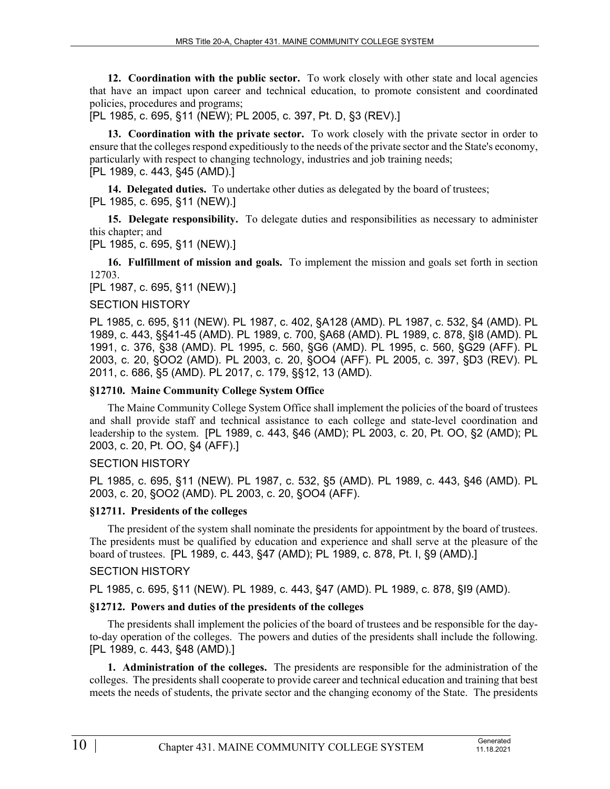**12. Coordination with the public sector.** To work closely with other state and local agencies that have an impact upon career and technical education, to promote consistent and coordinated policies, procedures and programs;

[PL 1985, c. 695, §11 (NEW); PL 2005, c. 397, Pt. D, §3 (REV).]

**13. Coordination with the private sector.** To work closely with the private sector in order to ensure that the colleges respond expeditiously to the needs of the private sector and the State's economy, particularly with respect to changing technology, industries and job training needs; [PL 1989, c. 443, §45 (AMD).]

**14. Delegated duties.** To undertake other duties as delegated by the board of trustees; [PL 1985, c. 695, §11 (NEW).]

**15. Delegate responsibility.** To delegate duties and responsibilities as necessary to administer this chapter; and

[PL 1985, c. 695, §11 (NEW).]

**16. Fulfillment of mission and goals.** To implement the mission and goals set forth in section 12703.

[PL 1987, c. 695, §11 (NEW).]

#### SECTION HISTORY

PL 1985, c. 695, §11 (NEW). PL 1987, c. 402, §A128 (AMD). PL 1987, c. 532, §4 (AMD). PL 1989, c. 443, §§41-45 (AMD). PL 1989, c. 700, §A68 (AMD). PL 1989, c. 878, §I8 (AMD). PL 1991, c. 376, §38 (AMD). PL 1995, c. 560, §G6 (AMD). PL 1995, c. 560, §G29 (AFF). PL 2003, c. 20, §OO2 (AMD). PL 2003, c. 20, §OO4 (AFF). PL 2005, c. 397, §D3 (REV). PL 2011, c. 686, §5 (AMD). PL 2017, c. 179, §§12, 13 (AMD).

#### **§12710. Maine Community College System Office**

The Maine Community College System Office shall implement the policies of the board of trustees and shall provide staff and technical assistance to each college and state-level coordination and leadership to the system. [PL 1989, c. 443, §46 (AMD); PL 2003, c. 20, Pt. OO, §2 (AMD); PL 2003, c. 20, Pt. OO, §4 (AFF).]

#### SECTION HISTORY

PL 1985, c. 695, §11 (NEW). PL 1987, c. 532, §5 (AMD). PL 1989, c. 443, §46 (AMD). PL 2003, c. 20, §OO2 (AMD). PL 2003, c. 20, §OO4 (AFF).

# **§12711. Presidents of the colleges**

The president of the system shall nominate the presidents for appointment by the board of trustees. The presidents must be qualified by education and experience and shall serve at the pleasure of the board of trustees. [PL 1989, c. 443, §47 (AMD); PL 1989, c. 878, Pt. I, §9 (AMD).]

#### SECTION HISTORY

PL 1985, c. 695, §11 (NEW). PL 1989, c. 443, §47 (AMD). PL 1989, c. 878, §I9 (AMD).

#### **§12712. Powers and duties of the presidents of the colleges**

The presidents shall implement the policies of the board of trustees and be responsible for the dayto-day operation of the colleges. The powers and duties of the presidents shall include the following. [PL 1989, c. 443, §48 (AMD).]

**1. Administration of the colleges.** The presidents are responsible for the administration of the colleges. The presidents shall cooperate to provide career and technical education and training that best meets the needs of students, the private sector and the changing economy of the State. The presidents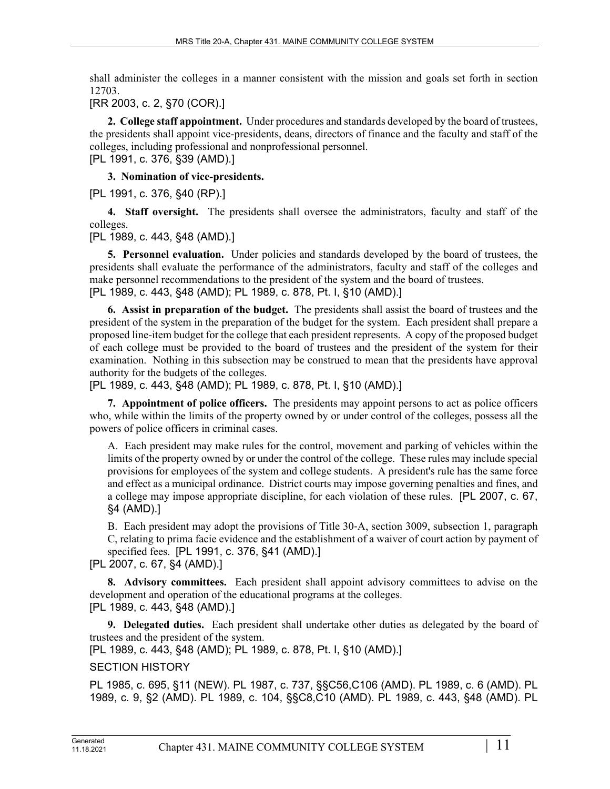shall administer the colleges in a manner consistent with the mission and goals set forth in section 12703.

[RR 2003, c. 2, §70 (COR).]

**2. College staff appointment.** Under procedures and standards developed by the board of trustees, the presidents shall appoint vice-presidents, deans, directors of finance and the faculty and staff of the colleges, including professional and nonprofessional personnel. [PL 1991, c. 376, §39 (AMD).]

**3. Nomination of vice-presidents.** 

[PL 1991, c. 376, §40 (RP).]

**4. Staff oversight.** The presidents shall oversee the administrators, faculty and staff of the colleges.

[PL 1989, c. 443, §48 (AMD).]

**5. Personnel evaluation.** Under policies and standards developed by the board of trustees, the presidents shall evaluate the performance of the administrators, faculty and staff of the colleges and make personnel recommendations to the president of the system and the board of trustees. [PL 1989, c. 443, §48 (AMD); PL 1989, c. 878, Pt. I, §10 (AMD).]

**6. Assist in preparation of the budget.** The presidents shall assist the board of trustees and the president of the system in the preparation of the budget for the system. Each president shall prepare a proposed line-item budget for the college that each president represents. A copy of the proposed budget of each college must be provided to the board of trustees and the president of the system for their examination. Nothing in this subsection may be construed to mean that the presidents have approval authority for the budgets of the colleges.

[PL 1989, c. 443, §48 (AMD); PL 1989, c. 878, Pt. I, §10 (AMD).]

**7. Appointment of police officers.** The presidents may appoint persons to act as police officers who, while within the limits of the property owned by or under control of the colleges, possess all the powers of police officers in criminal cases.

A. Each president may make rules for the control, movement and parking of vehicles within the limits of the property owned by or under the control of the college. These rules may include special provisions for employees of the system and college students. A president's rule has the same force and effect as a municipal ordinance. District courts may impose governing penalties and fines, and a college may impose appropriate discipline, for each violation of these rules. [PL 2007, c. 67, §4 (AMD).]

B. Each president may adopt the provisions of Title 30‑A, section 3009, subsection 1, paragraph C, relating to prima facie evidence and the establishment of a waiver of court action by payment of specified fees. [PL 1991, c. 376, §41 (AMD).]

[PL 2007, c. 67, §4 (AMD).]

**8. Advisory committees.** Each president shall appoint advisory committees to advise on the development and operation of the educational programs at the colleges. [PL 1989, c. 443, §48 (AMD).]

**9. Delegated duties.** Each president shall undertake other duties as delegated by the board of trustees and the president of the system.

[PL 1989, c. 443, §48 (AMD); PL 1989, c. 878, Pt. I, §10 (AMD).]

# SECTION HISTORY

PL 1985, c. 695, §11 (NEW). PL 1987, c. 737, §§C56,C106 (AMD). PL 1989, c. 6 (AMD). PL 1989, c. 9, §2 (AMD). PL 1989, c. 104, §§C8,C10 (AMD). PL 1989, c. 443, §48 (AMD). PL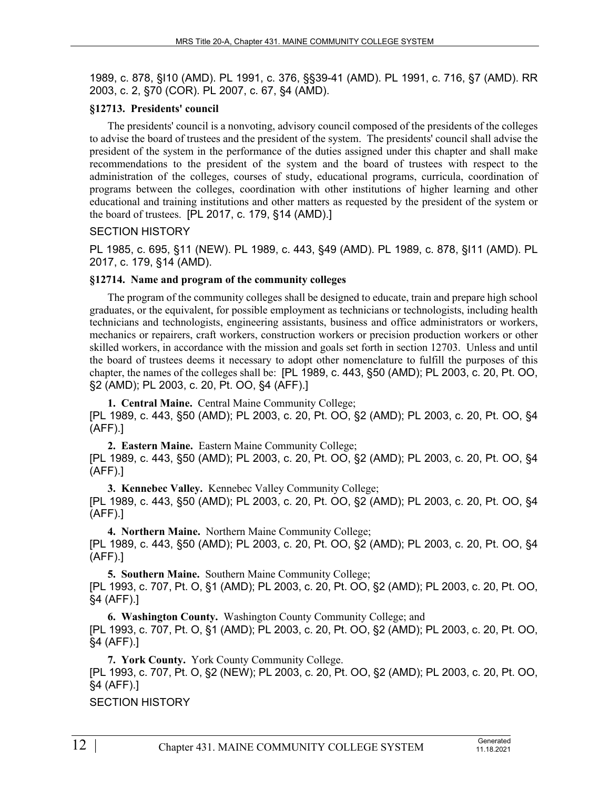1989, c. 878, §I10 (AMD). PL 1991, c. 376, §§39-41 (AMD). PL 1991, c. 716, §7 (AMD). RR 2003, c. 2, §70 (COR). PL 2007, c. 67, §4 (AMD).

# **§12713. Presidents' council**

The presidents' council is a nonvoting, advisory council composed of the presidents of the colleges to advise the board of trustees and the president of the system. The presidents' council shall advise the president of the system in the performance of the duties assigned under this chapter and shall make recommendations to the president of the system and the board of trustees with respect to the administration of the colleges, courses of study, educational programs, curricula, coordination of programs between the colleges, coordination with other institutions of higher learning and other educational and training institutions and other matters as requested by the president of the system or the board of trustees. [PL 2017, c. 179, §14 (AMD).]

# SECTION HISTORY

PL 1985, c. 695, §11 (NEW). PL 1989, c. 443, §49 (AMD). PL 1989, c. 878, §I11 (AMD). PL 2017, c. 179, §14 (AMD).

# **§12714. Name and program of the community colleges**

The program of the community colleges shall be designed to educate, train and prepare high school graduates, or the equivalent, for possible employment as technicians or technologists, including health technicians and technologists, engineering assistants, business and office administrators or workers, mechanics or repairers, craft workers, construction workers or precision production workers or other skilled workers, in accordance with the mission and goals set forth in section 12703. Unless and until the board of trustees deems it necessary to adopt other nomenclature to fulfill the purposes of this chapter, the names of the colleges shall be: [PL 1989, c. 443, §50 (AMD); PL 2003, c. 20, Pt. OO, §2 (AMD); PL 2003, c. 20, Pt. OO, §4 (AFF).]

**1. Central Maine.** Central Maine Community College; [PL 1989, c. 443, §50 (AMD); PL 2003, c. 20, Pt. OO, §2 (AMD); PL 2003, c. 20, Pt. OO, §4 (AFF).]

**2. Eastern Maine.** Eastern Maine Community College; [PL 1989, c. 443, §50 (AMD); PL 2003, c. 20, Pt. OO, §2 (AMD); PL 2003, c. 20, Pt. OO, §4 (AFF).]

**3. Kennebec Valley.** Kennebec Valley Community College; [PL 1989, c. 443, §50 (AMD); PL 2003, c. 20, Pt. OO, §2 (AMD); PL 2003, c. 20, Pt. OO, §4 (AFF).]

**4. Northern Maine.** Northern Maine Community College; [PL 1989, c. 443, §50 (AMD); PL 2003, c. 20, Pt. OO, §2 (AMD); PL 2003, c. 20, Pt. OO, §4 (AFF).]

**5. Southern Maine.** Southern Maine Community College; [PL 1993, c. 707, Pt. O, §1 (AMD); PL 2003, c. 20, Pt. OO, §2 (AMD); PL 2003, c. 20, Pt. OO, §4 (AFF).]

**6. Washington County.** Washington County Community College; and [PL 1993, c. 707, Pt. O, §1 (AMD); PL 2003, c. 20, Pt. OO, §2 (AMD); PL 2003, c. 20, Pt. OO, §4 (AFF).]

**7. York County.** York County Community College.

[PL 1993, c. 707, Pt. O, §2 (NEW); PL 2003, c. 20, Pt. OO, §2 (AMD); PL 2003, c. 20, Pt. OO, §4 (AFF).]

SECTION HISTORY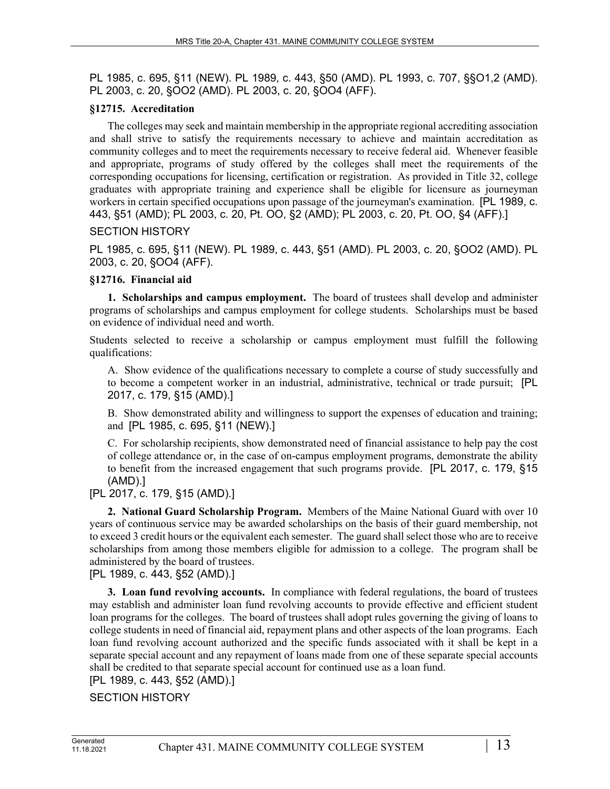PL 1985, c. 695, §11 (NEW). PL 1989, c. 443, §50 (AMD). PL 1993, c. 707, §§O1,2 (AMD). PL 2003, c. 20, §OO2 (AMD). PL 2003, c. 20, §OO4 (AFF).

# **§12715. Accreditation**

The colleges may seek and maintain membership in the appropriate regional accrediting association and shall strive to satisfy the requirements necessary to achieve and maintain accreditation as community colleges and to meet the requirements necessary to receive federal aid. Whenever feasible and appropriate, programs of study offered by the colleges shall meet the requirements of the corresponding occupations for licensing, certification or registration. As provided in Title 32, college graduates with appropriate training and experience shall be eligible for licensure as journeyman workers in certain specified occupations upon passage of the journeyman's examination. [PL 1989, c. 443, §51 (AMD); PL 2003, c. 20, Pt. OO, §2 (AMD); PL 2003, c. 20, Pt. OO, §4 (AFF).]

# SECTION HISTORY

PL 1985, c. 695, §11 (NEW). PL 1989, c. 443, §51 (AMD). PL 2003, c. 20, §OO2 (AMD). PL 2003, c. 20, §OO4 (AFF).

# **§12716. Financial aid**

**1. Scholarships and campus employment.** The board of trustees shall develop and administer programs of scholarships and campus employment for college students. Scholarships must be based on evidence of individual need and worth.

Students selected to receive a scholarship or campus employment must fulfill the following qualifications:

A. Show evidence of the qualifications necessary to complete a course of study successfully and to become a competent worker in an industrial, administrative, technical or trade pursuit; [PL 2017, c. 179, §15 (AMD).]

B. Show demonstrated ability and willingness to support the expenses of education and training; and [PL 1985, c. 695, §11 (NEW).]

C. For scholarship recipients, show demonstrated need of financial assistance to help pay the cost of college attendance or, in the case of on-campus employment programs, demonstrate the ability to benefit from the increased engagement that such programs provide. [PL 2017, c. 179, §15 (AMD).]

[PL 2017, c. 179, §15 (AMD).]

**2. National Guard Scholarship Program.** Members of the Maine National Guard with over 10 years of continuous service may be awarded scholarships on the basis of their guard membership, not to exceed 3 credit hours or the equivalent each semester. The guard shall select those who are to receive scholarships from among those members eligible for admission to a college. The program shall be administered by the board of trustees.

[PL 1989, c. 443, §52 (AMD).]

**3. Loan fund revolving accounts.** In compliance with federal regulations, the board of trustees may establish and administer loan fund revolving accounts to provide effective and efficient student loan programs for the colleges. The board of trustees shall adopt rules governing the giving of loans to college students in need of financial aid, repayment plans and other aspects of the loan programs. Each loan fund revolving account authorized and the specific funds associated with it shall be kept in a separate special account and any repayment of loans made from one of these separate special accounts shall be credited to that separate special account for continued use as a loan fund.

[PL 1989, c. 443, §52 (AMD).]

SECTION HISTORY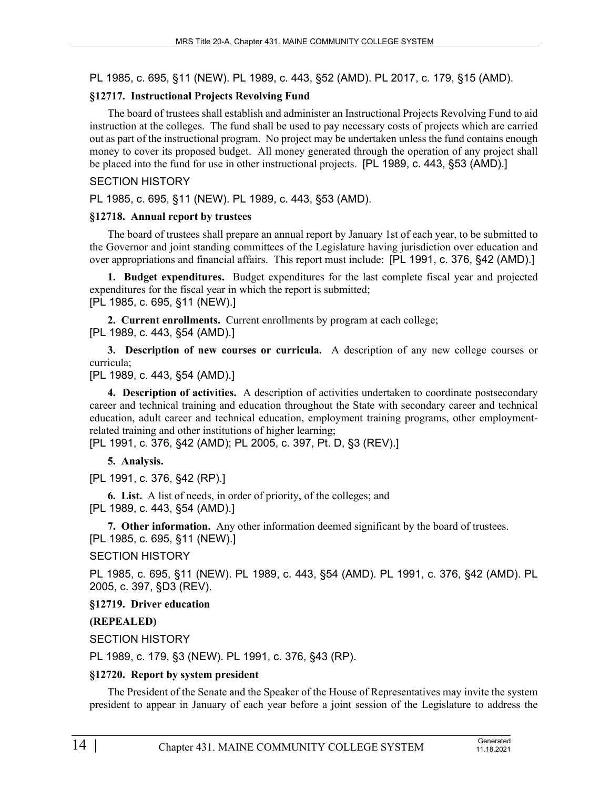PL 1985, c. 695, §11 (NEW). PL 1989, c. 443, §52 (AMD). PL 2017, c. 179, §15 (AMD).

# **§12717. Instructional Projects Revolving Fund**

The board of trustees shall establish and administer an Instructional Projects Revolving Fund to aid instruction at the colleges. The fund shall be used to pay necessary costs of projects which are carried out as part of the instructional program. No project may be undertaken unless the fund contains enough money to cover its proposed budget. All money generated through the operation of any project shall be placed into the fund for use in other instructional projects. [PL 1989, c. 443, §53 (AMD).]

### SECTION HISTORY

PL 1985, c. 695, §11 (NEW). PL 1989, c. 443, §53 (AMD).

# **§12718. Annual report by trustees**

The board of trustees shall prepare an annual report by January 1st of each year, to be submitted to the Governor and joint standing committees of the Legislature having jurisdiction over education and over appropriations and financial affairs. This report must include: [PL 1991, c. 376, §42 (AMD).]

**1. Budget expenditures.** Budget expenditures for the last complete fiscal year and projected expenditures for the fiscal year in which the report is submitted; [PL 1985, c. 695, §11 (NEW).]

**2. Current enrollments.** Current enrollments by program at each college; [PL 1989, c. 443, §54 (AMD).]

**3. Description of new courses or curricula.** A description of any new college courses or curricula;

[PL 1989, c. 443, §54 (AMD).]

**4. Description of activities.** A description of activities undertaken to coordinate postsecondary career and technical training and education throughout the State with secondary career and technical education, adult career and technical education, employment training programs, other employmentrelated training and other institutions of higher learning;

[PL 1991, c. 376, §42 (AMD); PL 2005, c. 397, Pt. D, §3 (REV).]

**5. Analysis.** 

[PL 1991, c. 376, §42 (RP).]

**6. List.** A list of needs, in order of priority, of the colleges; and [PL 1989, c. 443, §54 (AMD).]

**7. Other information.** Any other information deemed significant by the board of trustees. [PL 1985, c. 695, §11 (NEW).]

SECTION HISTORY

PL 1985, c. 695, §11 (NEW). PL 1989, c. 443, §54 (AMD). PL 1991, c. 376, §42 (AMD). PL 2005, c. 397, §D3 (REV).

**§12719. Driver education**

# **(REPEALED)**

SECTION HISTORY

PL 1989, c. 179, §3 (NEW). PL 1991, c. 376, §43 (RP).

# **§12720. Report by system president**

The President of the Senate and the Speaker of the House of Representatives may invite the system president to appear in January of each year before a joint session of the Legislature to address the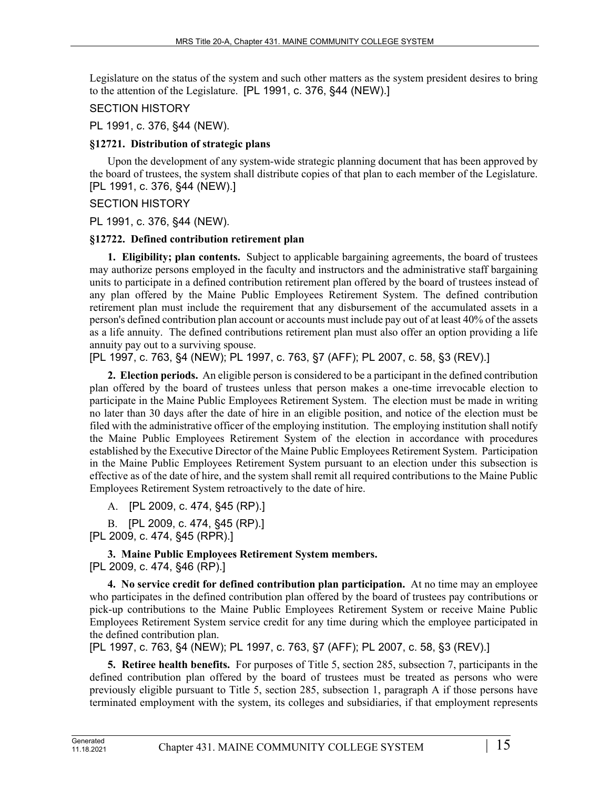Legislature on the status of the system and such other matters as the system president desires to bring to the attention of the Legislature. [PL 1991, c. 376, §44 (NEW).]

# SECTION HISTORY

PL 1991, c. 376, §44 (NEW).

# **§12721. Distribution of strategic plans**

Upon the development of any system-wide strategic planning document that has been approved by the board of trustees, the system shall distribute copies of that plan to each member of the Legislature. [PL 1991, c. 376, §44 (NEW).]

SECTION HISTORY

PL 1991, c. 376, §44 (NEW).

# **§12722. Defined contribution retirement plan**

**1. Eligibility; plan contents.** Subject to applicable bargaining agreements, the board of trustees may authorize persons employed in the faculty and instructors and the administrative staff bargaining units to participate in a defined contribution retirement plan offered by the board of trustees instead of any plan offered by the Maine Public Employees Retirement System. The defined contribution retirement plan must include the requirement that any disbursement of the accumulated assets in a person's defined contribution plan account or accounts must include pay out of at least 40% of the assets as a life annuity. The defined contributions retirement plan must also offer an option providing a life annuity pay out to a surviving spouse.

[PL 1997, c. 763, §4 (NEW); PL 1997, c. 763, §7 (AFF); PL 2007, c. 58, §3 (REV).]

**2. Election periods.** An eligible person is considered to be a participant in the defined contribution plan offered by the board of trustees unless that person makes a one-time irrevocable election to participate in the Maine Public Employees Retirement System. The election must be made in writing no later than 30 days after the date of hire in an eligible position, and notice of the election must be filed with the administrative officer of the employing institution. The employing institution shall notify the Maine Public Employees Retirement System of the election in accordance with procedures established by the Executive Director of the Maine Public Employees Retirement System. Participation in the Maine Public Employees Retirement System pursuant to an election under this subsection is effective as of the date of hire, and the system shall remit all required contributions to the Maine Public Employees Retirement System retroactively to the date of hire.

A. [PL 2009, c. 474, §45 (RP).]

B. [PL 2009, c. 474, §45 (RP).]

[PL 2009, c. 474, §45 (RPR).]

**3. Maine Public Employees Retirement System members.**  [PL 2009, c. 474, §46 (RP).]

**4. No service credit for defined contribution plan participation.** At no time may an employee who participates in the defined contribution plan offered by the board of trustees pay contributions or pick-up contributions to the Maine Public Employees Retirement System or receive Maine Public Employees Retirement System service credit for any time during which the employee participated in the defined contribution plan.

[PL 1997, c. 763, §4 (NEW); PL 1997, c. 763, §7 (AFF); PL 2007, c. 58, §3 (REV).]

**5. Retiree health benefits.** For purposes of Title 5, section 285, subsection 7, participants in the defined contribution plan offered by the board of trustees must be treated as persons who were previously eligible pursuant to Title 5, section 285, subsection 1, paragraph A if those persons have terminated employment with the system, its colleges and subsidiaries, if that employment represents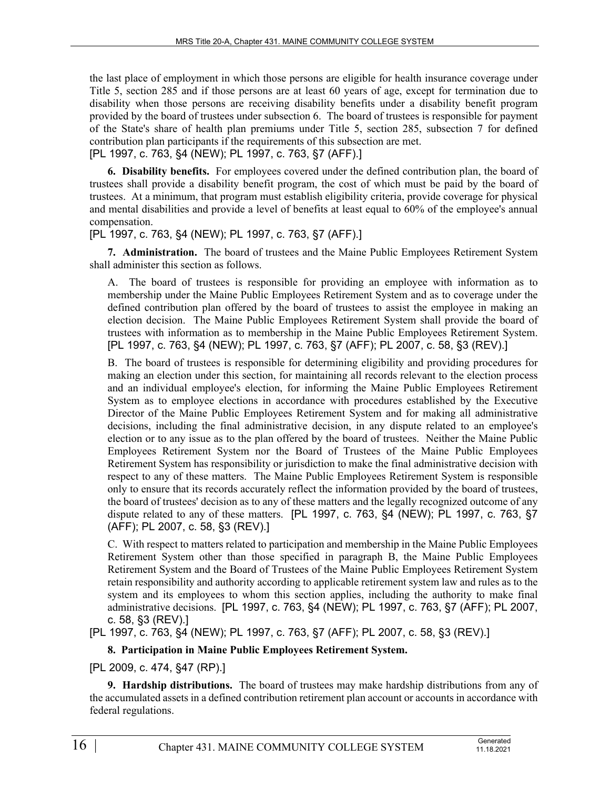the last place of employment in which those persons are eligible for health insurance coverage under Title 5, section 285 and if those persons are at least 60 years of age, except for termination due to disability when those persons are receiving disability benefits under a disability benefit program provided by the board of trustees under subsection 6. The board of trustees is responsible for payment of the State's share of health plan premiums under Title 5, section 285, subsection 7 for defined contribution plan participants if the requirements of this subsection are met.

[PL 1997, c. 763, §4 (NEW); PL 1997, c. 763, §7 (AFF).]

**6. Disability benefits.** For employees covered under the defined contribution plan, the board of trustees shall provide a disability benefit program, the cost of which must be paid by the board of trustees. At a minimum, that program must establish eligibility criteria, provide coverage for physical and mental disabilities and provide a level of benefits at least equal to 60% of the employee's annual compensation.

[PL 1997, c. 763, §4 (NEW); PL 1997, c. 763, §7 (AFF).]

**7. Administration.** The board of trustees and the Maine Public Employees Retirement System shall administer this section as follows.

A. The board of trustees is responsible for providing an employee with information as to membership under the Maine Public Employees Retirement System and as to coverage under the defined contribution plan offered by the board of trustees to assist the employee in making an election decision. The Maine Public Employees Retirement System shall provide the board of trustees with information as to membership in the Maine Public Employees Retirement System. [PL 1997, c. 763, §4 (NEW); PL 1997, c. 763, §7 (AFF); PL 2007, c. 58, §3 (REV).]

B. The board of trustees is responsible for determining eligibility and providing procedures for making an election under this section, for maintaining all records relevant to the election process and an individual employee's election, for informing the Maine Public Employees Retirement System as to employee elections in accordance with procedures established by the Executive Director of the Maine Public Employees Retirement System and for making all administrative decisions, including the final administrative decision, in any dispute related to an employee's election or to any issue as to the plan offered by the board of trustees. Neither the Maine Public Employees Retirement System nor the Board of Trustees of the Maine Public Employees Retirement System has responsibility or jurisdiction to make the final administrative decision with respect to any of these matters. The Maine Public Employees Retirement System is responsible only to ensure that its records accurately reflect the information provided by the board of trustees, the board of trustees' decision as to any of these matters and the legally recognized outcome of any dispute related to any of these matters. [PL 1997, c. 763, §4 (NEW); PL 1997, c. 763, §7 (AFF); PL 2007, c. 58, §3 (REV).]

C. With respect to matters related to participation and membership in the Maine Public Employees Retirement System other than those specified in paragraph B, the Maine Public Employees Retirement System and the Board of Trustees of the Maine Public Employees Retirement System retain responsibility and authority according to applicable retirement system law and rules as to the system and its employees to whom this section applies, including the authority to make final administrative decisions. [PL 1997, c. 763, §4 (NEW); PL 1997, c. 763, §7 (AFF); PL 2007, c. 58, §3 (REV).]

[PL 1997, c. 763, §4 (NEW); PL 1997, c. 763, §7 (AFF); PL 2007, c. 58, §3 (REV).]

**8. Participation in Maine Public Employees Retirement System.** 

[PL 2009, c. 474, §47 (RP).]

**9. Hardship distributions.** The board of trustees may make hardship distributions from any of the accumulated assets in a defined contribution retirement plan account or accounts in accordance with federal regulations.